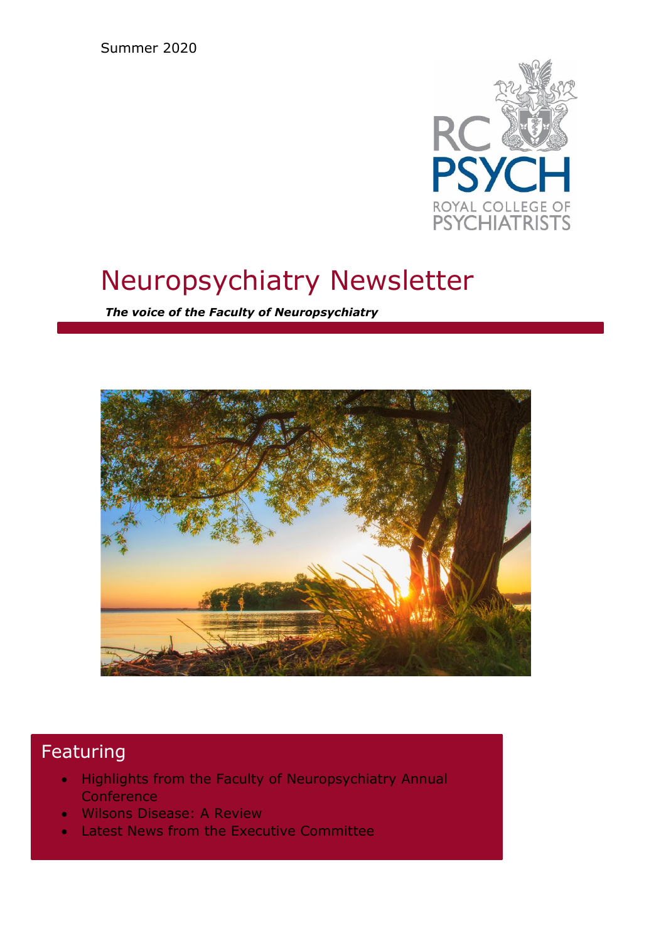Summer 2020



# Neuropsychiatry Newsletter

*The voice of the Faculty of Neuropsychiatry*



# Featuring

- Highlights from the Faculty of Neuropsychiatry Annual **Conference**
- Wilsons Disease: A Review
- Latest News from the Executive Committee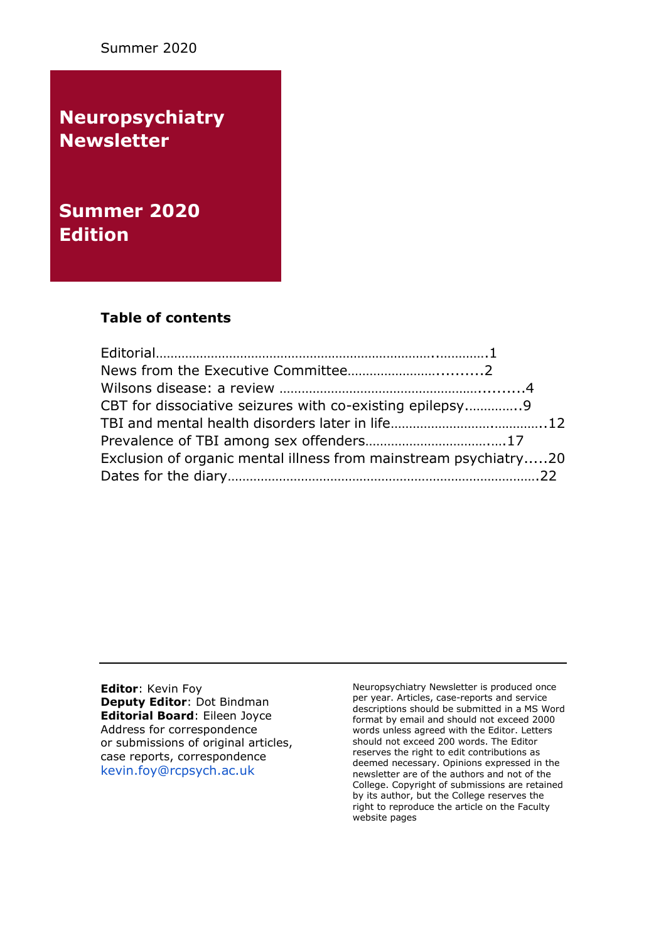Summer 2020

**Neuropsychiatry Newsletter**

**Summer 2020 Edition** 

## **Table of contents**

| CBT for dissociative seizures with co-existing epilepsy          |  |
|------------------------------------------------------------------|--|
|                                                                  |  |
|                                                                  |  |
| Exclusion of organic mental illness from mainstream psychiatry20 |  |
|                                                                  |  |

**Editor**: Kevin Foy **Deputy Editor**: Dot Bindman **Editorial Board**: Eileen Joyce Address for correspondence or submissions of original articles, case reports, correspondence [kevin.foy@rcpsych.ac.uk](mailto:kevin.foy@rcpsych.ac.uk)

Neuropsychiatry Newsletter is produced once per year. Articles, case-reports and service descriptions should be submitted in a MS Word format by email and should not exceed 2000 words unless agreed with the Editor. Letters should not exceed 200 words. The Editor reserves the right to edit contributions as deemed necessary. Opinions expressed in the newsletter are of the authors and not of the College. Copyright of submissions are retained by its author, but the College reserves the right to reproduce the article on the Faculty website pages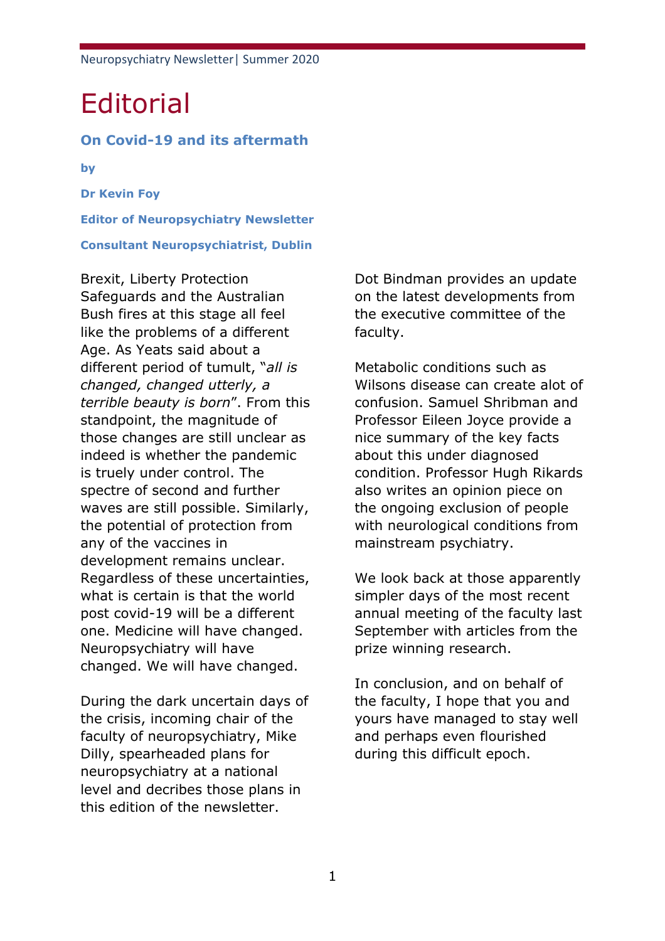# **Editorial**

### **On Covid-19 and its aftermath**

**by**

**Dr Kevin Foy**

**Editor of Neuropsychiatry Newsletter**

#### **Consultant Neuropsychiatrist, Dublin**

Brexit, Liberty Protection Safeguards and the Australian Bush fires at this stage all feel like the problems of a different Age. As Yeats said about a different period of tumult, "*all is changed, changed utterly, a terrible beauty is born*". From this standpoint, the magnitude of those changes are still unclear as indeed is whether the pandemic is truely under control. The spectre of second and further waves are still possible. Similarly, the potential of protection from any of the vaccines in development remains unclear. Regardless of these uncertainties, what is certain is that the world post covid-19 will be a different one. Medicine will have changed. Neuropsychiatry will have changed. We will have changed.

During the dark uncertain days of the crisis, incoming chair of the faculty of neuropsychiatry, Mike Dilly, spearheaded plans for neuropsychiatry at a national level and decribes those plans in this edition of the newsletter.

Dot Bindman provides an update on the latest developments from the executive committee of the faculty.

Metabolic conditions such as Wilsons disease can create alot of confusion. Samuel Shribman and Professor Eileen Joyce provide a nice summary of the key facts about this under diagnosed condition. Professor Hugh Rikards also writes an opinion piece on the ongoing exclusion of people with neurological conditions from mainstream psychiatry.

We look back at those apparently simpler days of the most recent annual meeting of the faculty last September with articles from the prize winning research.

In conclusion, and on behalf of the faculty, I hope that you and yours have managed to stay well and perhaps even flourished during this difficult epoch.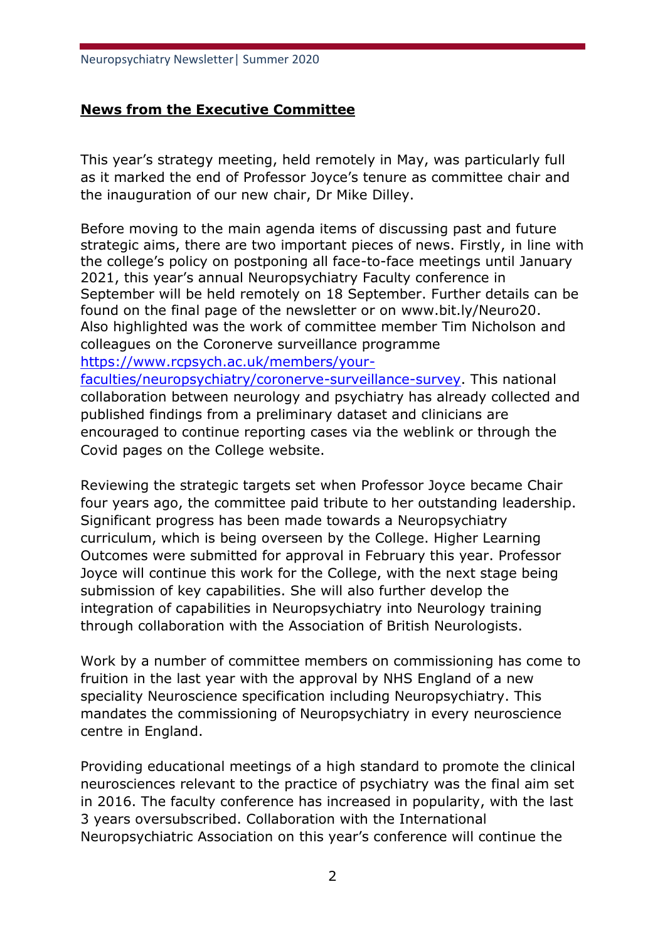# **News from the Executive Committee**

This year's strategy meeting, held remotely in May, was particularly full as it marked the end of Professor Joyce's tenure as committee chair and the inauguration of our new chair, Dr Mike Dilley.

Before moving to the main agenda items of discussing past and future strategic aims, there are two important pieces of news. Firstly, in line with the college's policy on postponing all face-to-face meetings until January 2021, this year's annual Neuropsychiatry Faculty conference in September will be held remotely on 18 September. Further details can be found on the final page of the newsletter or on www.bit.ly/Neuro20. Also highlighted was the work of committee member Tim Nicholson and colleagues on the Coronerve surveillance programme [https://www.rcpsych.ac.uk/members/your-](https://www.rcpsych.ac.uk/members/your-faculties/neuropsychiatry/coronerve-surveillance-survey)

[faculties/neuropsychiatry/coronerve-surveillance-survey.](https://www.rcpsych.ac.uk/members/your-faculties/neuropsychiatry/coronerve-surveillance-survey) This national collaboration between neurology and psychiatry has already collected and published findings from a preliminary dataset and clinicians are encouraged to continue reporting cases via the weblink or through the Covid pages on the College website.

Reviewing the strategic targets set when Professor Joyce became Chair four years ago, the committee paid tribute to her outstanding leadership. Significant progress has been made towards a Neuropsychiatry curriculum, which is being overseen by the College. Higher Learning Outcomes were submitted for approval in February this year. Professor Joyce will continue this work for the College, with the next stage being submission of key capabilities. She will also further develop the integration of capabilities in Neuropsychiatry into Neurology training through collaboration with the Association of British Neurologists.

Work by a number of committee members on commissioning has come to fruition in the last year with the approval by NHS England of a new speciality Neuroscience specification including Neuropsychiatry. This mandates the commissioning of Neuropsychiatry in every neuroscience centre in England.

Providing educational meetings of a high standard to promote the clinical neurosciences relevant to the practice of psychiatry was the final aim set in 2016. The faculty conference has increased in popularity, with the last 3 years oversubscribed. Collaboration with the International Neuropsychiatric Association on this year's conference will continue the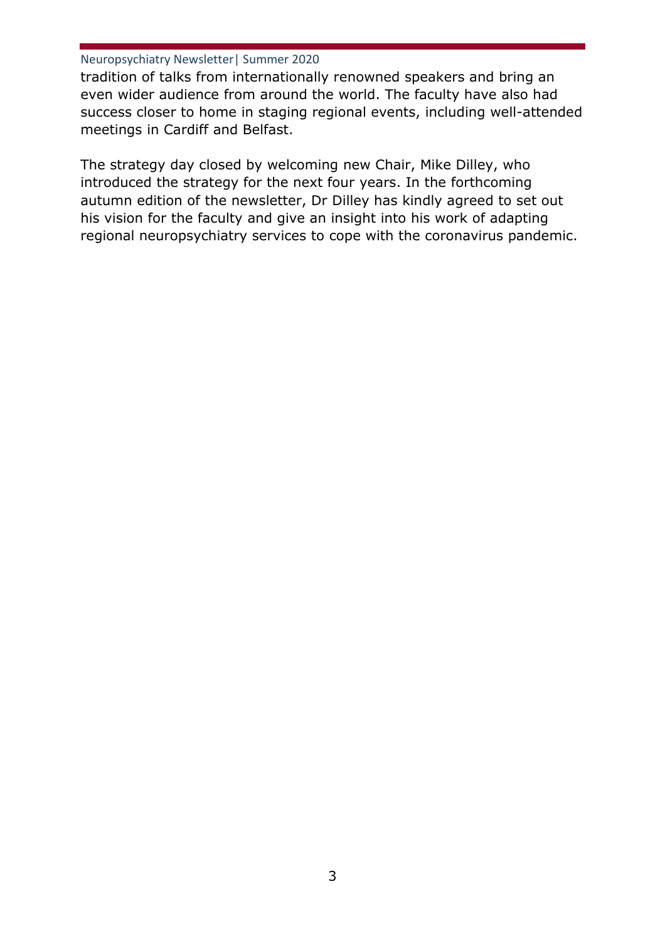tradition of talks from internationally renowned speakers and bring an even wider audience from around the world. The faculty have also had success closer to home in staging regional events, including well-attended meetings in Cardiff and Belfast.

The strategy day closed by welcoming new Chair, Mike Dilley, who introduced the strategy for the next four years. In the forthcoming autumn edition of the newsletter, Dr Dilley has kindly agreed to set out his vision for the faculty and give an insight into his work of adapting regional neuropsychiatry services to cope with the coronavirus pandemic.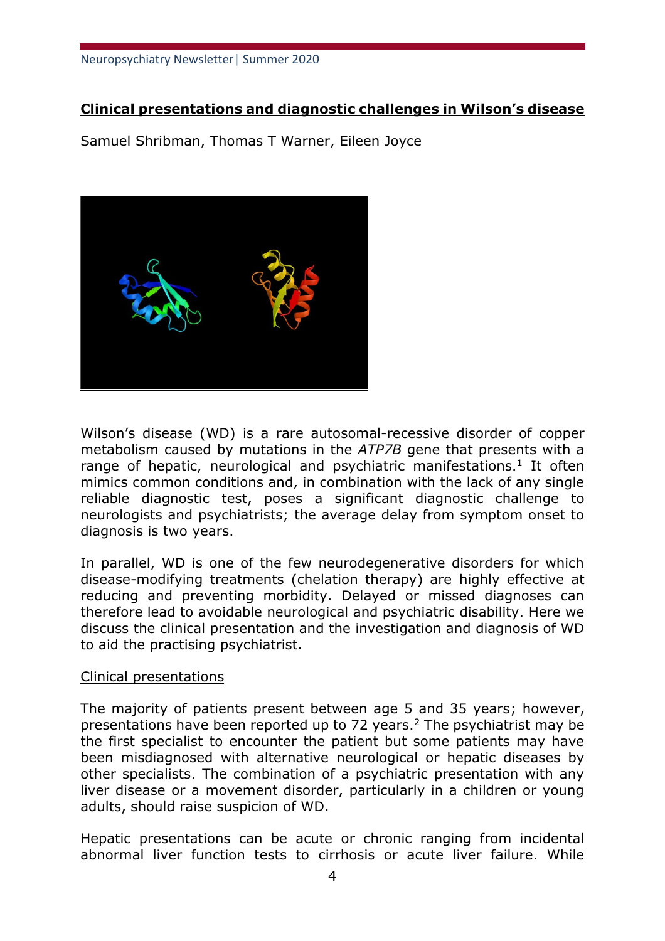# **Clinical presentations and diagnostic challenges in Wilson's disease**

Samuel Shribman, Thomas T Warner, Eileen Joyce



Wilson's disease (WD) is a rare autosomal-recessive disorder of copper metabolism caused by mutations in the *ATP7B* gene that presents with a range of hepatic, neurological and psychiatric manifestations.<sup>1</sup> It often mimics common conditions and, in combination with the lack of any single reliable diagnostic test, poses a significant diagnostic challenge to neurologists and psychiatrists; the average delay from symptom onset to diagnosis is two years.

In parallel, WD is one of the few neurodegenerative disorders for which disease-modifying treatments (chelation therapy) are highly effective at reducing and preventing morbidity. Delayed or missed diagnoses can therefore lead to avoidable neurological and psychiatric disability. Here we discuss the clinical presentation and the investigation and diagnosis of WD to aid the practising psychiatrist.

### Clinical presentations

The majority of patients present between age 5 and 35 years; however, presentations have been reported up to 72 years.<sup>2</sup> The psychiatrist may be the first specialist to encounter the patient but some patients may have been misdiagnosed with alternative neurological or hepatic diseases by other specialists. The combination of a psychiatric presentation with any liver disease or a movement disorder, particularly in a children or young adults, should raise suspicion of WD.

Hepatic presentations can be acute or chronic ranging from incidental abnormal liver function tests to cirrhosis or acute liver failure. While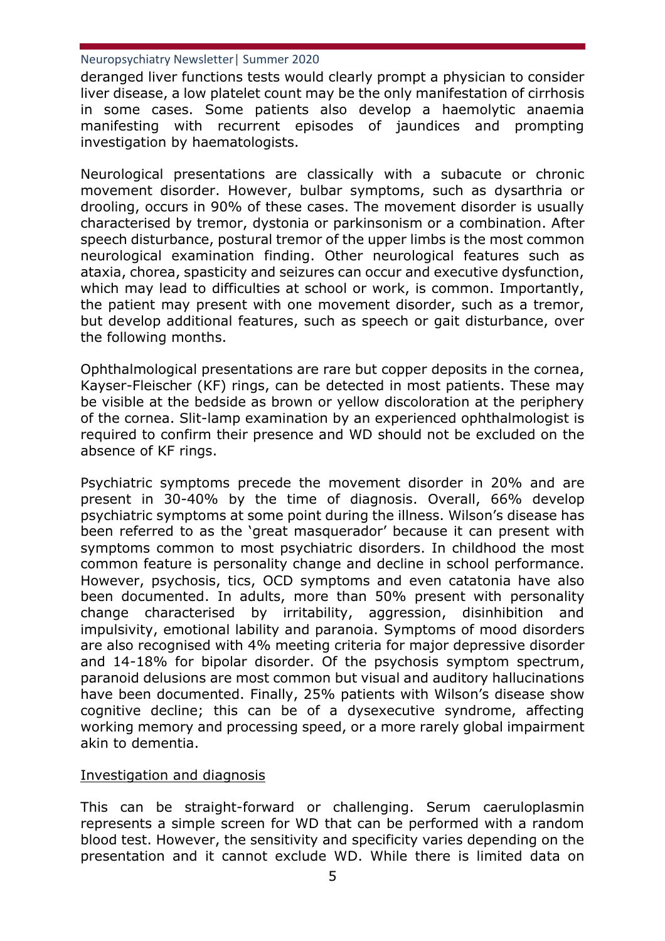deranged liver functions tests would clearly prompt a physician to consider liver disease, a low platelet count may be the only manifestation of cirrhosis in some cases. Some patients also develop a haemolytic anaemia manifesting with recurrent episodes of jaundices and prompting investigation by haematologists.

Neurological presentations are classically with a subacute or chronic movement disorder. However, bulbar symptoms, such as dysarthria or drooling, occurs in 90% of these cases. The movement disorder is usually characterised by tremor, dystonia or parkinsonism or a combination. After speech disturbance, postural tremor of the upper limbs is the most common neurological examination finding. Other neurological features such as ataxia, chorea, spasticity and seizures can occur and executive dysfunction, which may lead to difficulties at school or work, is common. Importantly, the patient may present with one movement disorder, such as a tremor, but develop additional features, such as speech or gait disturbance, over the following months.

Ophthalmological presentations are rare but copper deposits in the cornea, Kayser-Fleischer (KF) rings, can be detected in most patients. These may be visible at the bedside as brown or yellow discoloration at the periphery of the cornea. Slit-lamp examination by an experienced ophthalmologist is required to confirm their presence and WD should not be excluded on the absence of KF rings.

Psychiatric symptoms precede the movement disorder in 20% and are present in 30-40% by the time of diagnosis. Overall, 66% develop psychiatric symptoms at some point during the illness. Wilson's disease has been referred to as the 'great masquerador' because it can present with symptoms common to most psychiatric disorders. In childhood the most common feature is personality change and decline in school performance. However, psychosis, tics, OCD symptoms and even catatonia have also been documented. In adults, more than 50% present with personality change characterised by irritability, aggression, disinhibition and impulsivity, emotional lability and paranoia. Symptoms of mood disorders are also recognised with 4% meeting criteria for major depressive disorder and 14-18% for bipolar disorder. Of the psychosis symptom spectrum, paranoid delusions are most common but visual and auditory hallucinations have been documented. Finally, 25% patients with Wilson's disease show cognitive decline; this can be of a dysexecutive syndrome, affecting working memory and processing speed, or a more rarely global impairment akin to dementia.

### Investigation and diagnosis

This can be straight-forward or challenging. Serum caeruloplasmin represents a simple screen for WD that can be performed with a random blood test. However, the sensitivity and specificity varies depending on the presentation and it cannot exclude WD. While there is limited data on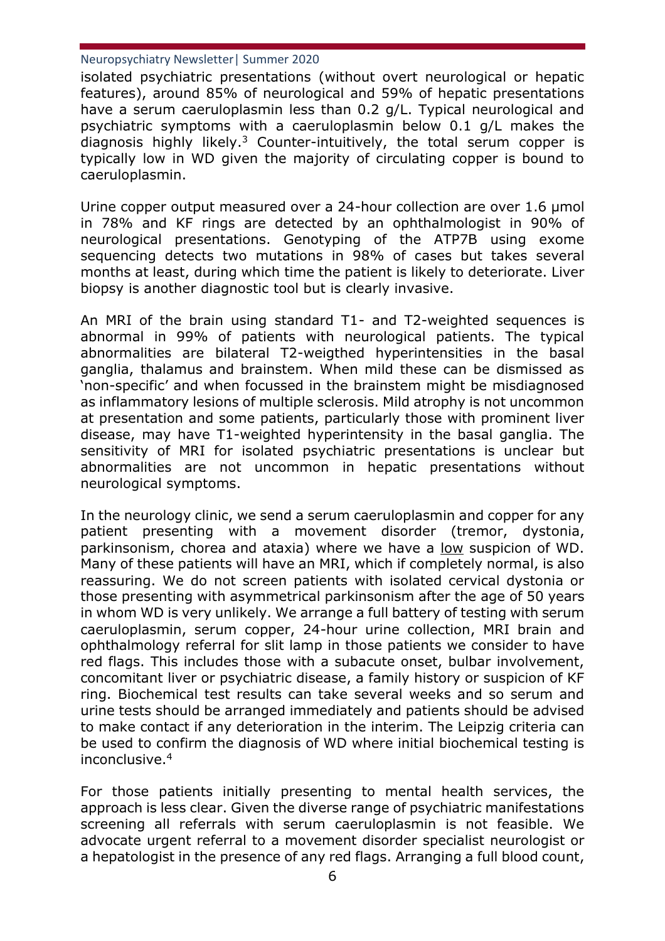isolated psychiatric presentations (without overt neurological or hepatic features), around 85% of neurological and 59% of hepatic presentations have a serum caeruloplasmin less than 0.2 g/L. Typical neurological and psychiatric symptoms with a caeruloplasmin below 0.1 g/L makes the diagnosis highly likely.<sup>3</sup> Counter-intuitively, the total serum copper is typically low in WD given the majority of circulating copper is bound to caeruloplasmin.

Urine copper output measured over a 24-hour collection are over 1.6 μmol in 78% and KF rings are detected by an ophthalmologist in 90% of neurological presentations. Genotyping of the ATP7B using exome sequencing detects two mutations in 98% of cases but takes several months at least, during which time the patient is likely to deteriorate. Liver biopsy is another diagnostic tool but is clearly invasive.

An MRI of the brain using standard T1- and T2-weighted sequences is abnormal in 99% of patients with neurological patients. The typical abnormalities are bilateral T2-weigthed hyperintensities in the basal ganglia, thalamus and brainstem. When mild these can be dismissed as 'non-specific' and when focussed in the brainstem might be misdiagnosed as inflammatory lesions of multiple sclerosis. Mild atrophy is not uncommon at presentation and some patients, particularly those with prominent liver disease, may have T1-weighted hyperintensity in the basal ganglia. The sensitivity of MRI for isolated psychiatric presentations is unclear but abnormalities are not uncommon in hepatic presentations without neurological symptoms.

In the neurology clinic, we send a serum caeruloplasmin and copper for any patient presenting with a movement disorder (tremor, dystonia, parkinsonism, chorea and ataxia) where we have a low suspicion of WD. Many of these patients will have an MRI, which if completely normal, is also reassuring. We do not screen patients with isolated cervical dystonia or those presenting with asymmetrical parkinsonism after the age of 50 years in whom WD is very unlikely. We arrange a full battery of testing with serum caeruloplasmin, serum copper, 24-hour urine collection, MRI brain and ophthalmology referral for slit lamp in those patients we consider to have red flags. This includes those with a subacute onset, bulbar involvement, concomitant liver or psychiatric disease, a family history or suspicion of KF ring. Biochemical test results can take several weeks and so serum and urine tests should be arranged immediately and patients should be advised to make contact if any deterioration in the interim. The Leipzig criteria can be used to confirm the diagnosis of WD where initial biochemical testing is inconclusive.<sup>4</sup>

For those patients initially presenting to mental health services, the approach is less clear. Given the diverse range of psychiatric manifestations screening all referrals with serum caeruloplasmin is not feasible. We advocate urgent referral to a movement disorder specialist neurologist or a hepatologist in the presence of any red flags. Arranging a full blood count,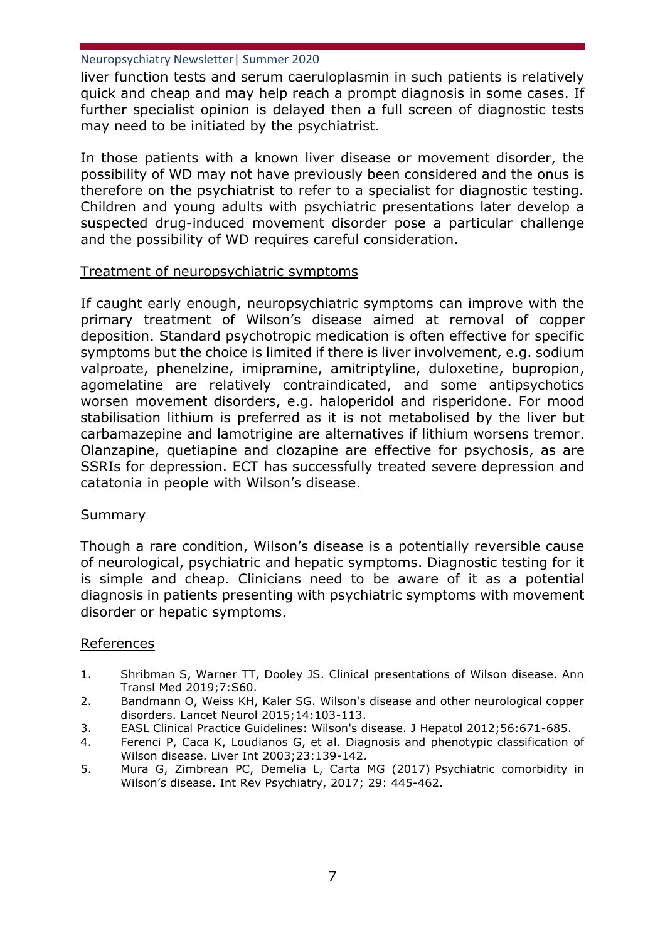liver function tests and serum caeruloplasmin in such patients is relatively quick and cheap and may help reach a prompt diagnosis in some cases. If further specialist opinion is delayed then a full screen of diagnostic tests may need to be initiated by the psychiatrist.

In those patients with a known liver disease or movement disorder, the possibility of WD may not have previously been considered and the onus is therefore on the psychiatrist to refer to a specialist for diagnostic testing. Children and young adults with psychiatric presentations later develop a suspected drug-induced movement disorder pose a particular challenge and the possibility of WD requires careful consideration.

## Treatment of neuropsychiatric symptoms

If caught early enough, neuropsychiatric symptoms can improve with the primary treatment of Wilson's disease aimed at removal of copper deposition. Standard psychotropic medication is often effective for specific symptoms but the choice is limited if there is liver involvement, e.g. sodium valproate, phenelzine, imipramine, amitriptyline, duloxetine, bupropion, agomelatine are relatively contraindicated, and some antipsychotics worsen movement disorders, e.g. haloperidol and risperidone. For mood stabilisation lithium is preferred as it is not metabolised by the liver but carbamazepine and lamotrigine are alternatives if lithium worsens tremor. Olanzapine, quetiapine and clozapine are effective for psychosis, as are SSRIs for depression. ECT has successfully treated severe depression and catatonia in people with Wilson's disease.

### Summary

Though a rare condition, Wilson's disease is a potentially reversible cause of neurological, psychiatric and hepatic symptoms. Diagnostic testing for it is simple and cheap. Clinicians need to be aware of it as a potential diagnosis in patients presenting with psychiatric symptoms with movement disorder or hepatic symptoms.

### References

- 1. Shribman S, Warner TT, Dooley JS. Clinical presentations of Wilson disease. Ann Transl Med 2019;7:S60.
- 2. Bandmann O, Weiss KH, Kaler SG. Wilson's disease and other neurological copper disorders. Lancet Neurol 2015;14:103-113.
- 3. EASL Clinical Practice Guidelines: Wilson's disease. J Hepatol 2012;56:671-685.
- 4. Ferenci P, Caca K, Loudianos G, et al. Diagnosis and phenotypic classification of Wilson disease. Liver Int 2003;23:139-142.
- 5. Mura G, Zimbrean PC, Demelia L, Carta MG (2017) Psychiatric comorbidity in Wilson's disease. Int Rev Psychiatry, 2017; 29: 445-462.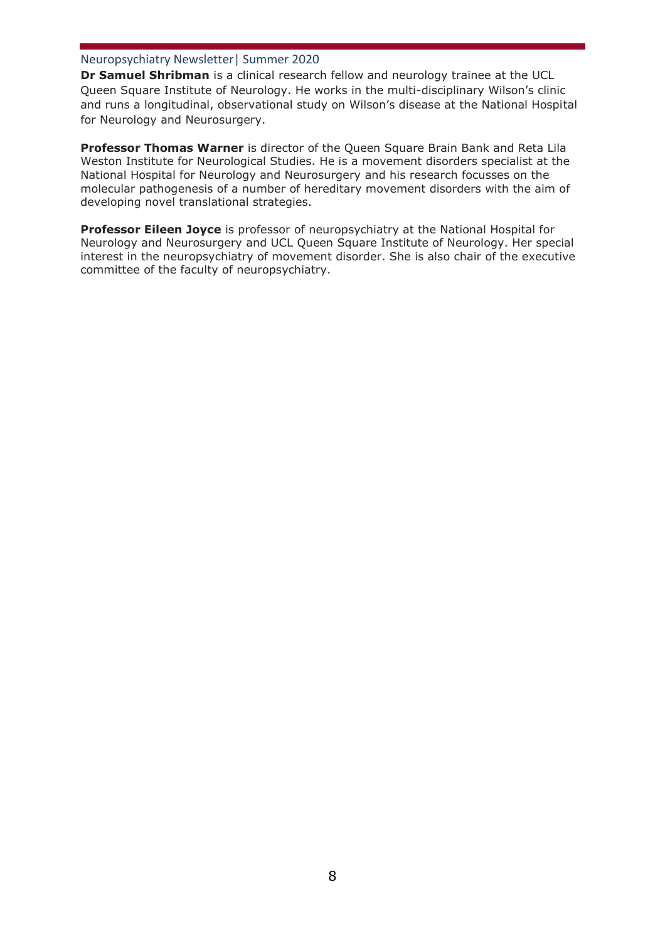**Dr Samuel Shribman** is a clinical research fellow and neurology trainee at the UCL Queen Square Institute of Neurology. He works in the multi-disciplinary Wilson's clinic and runs a longitudinal, observational study on Wilson's disease at the National Hospital for Neurology and Neurosurgery.

**Professor Thomas Warner** is director of the Queen Square Brain Bank and Reta Lila Weston Institute for Neurological Studies. He is a movement disorders specialist at the National Hospital for Neurology and Neurosurgery and his research focusses on the molecular pathogenesis of a number of hereditary movement disorders with the aim of developing novel translational strategies.

**Professor Eileen Joyce** is professor of neuropsychiatry at the National Hospital for Neurology and Neurosurgery and UCL Queen Square Institute of Neurology. Her special interest in the neuropsychiatry of movement disorder. She is also chair of the executive committee of the faculty of neuropsychiatry.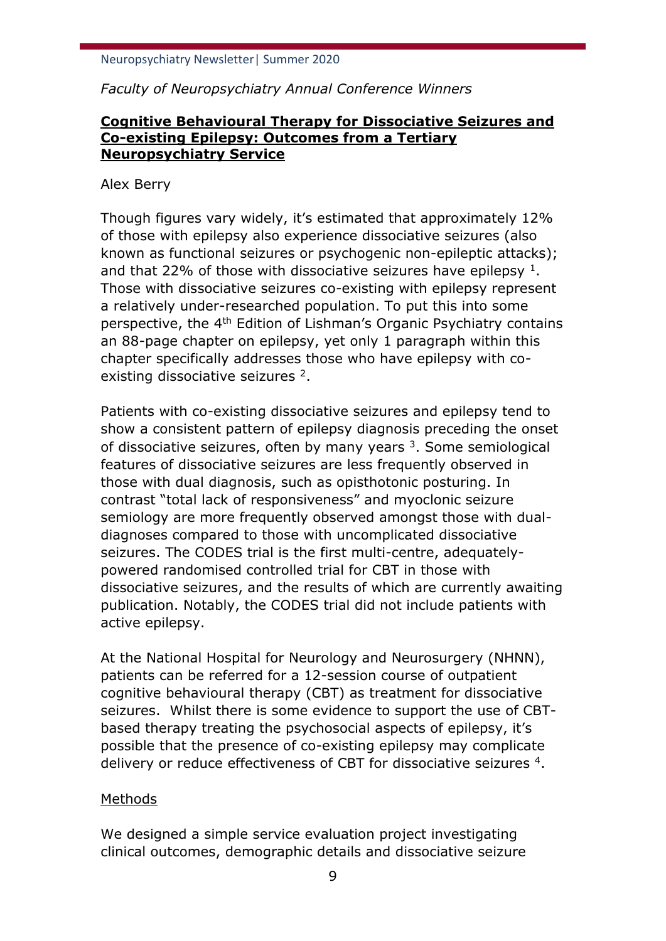*Faculty of Neuropsychiatry Annual Conference Winners*

# **Cognitive Behavioural Therapy for Dissociative Seizures and Co-existing Epilepsy: Outcomes from a Tertiary Neuropsychiatry Service**

## Alex Berry

Though figures vary widely, it's estimated that approximately 12% of those with epilepsy also experience dissociative seizures (also known as functional seizures or psychogenic non-epileptic attacks); and that 22% of those with dissociative seizures have epilepsy  $1$ . Those with dissociative seizures co-existing with epilepsy represent a relatively under-researched population. To put this into some perspective, the 4th Edition of Lishman's Organic Psychiatry contains an 88-page chapter on epilepsy, yet only 1 paragraph within this chapter specifically addresses those who have epilepsy with coexisting dissociative seizures <sup>2</sup>.

Patients with co-existing dissociative seizures and epilepsy tend to show a consistent pattern of epilepsy diagnosis preceding the onset of dissociative seizures, often by many years  $3$ . Some semiological features of dissociative seizures are less frequently observed in those with dual diagnosis, such as opisthotonic posturing. In contrast "total lack of responsiveness" and myoclonic seizure semiology are more frequently observed amongst those with dualdiagnoses compared to those with uncomplicated dissociative seizures. The CODES trial is the first multi-centre, adequatelypowered randomised controlled trial for CBT in those with dissociative seizures, and the results of which are currently awaiting publication. Notably, the CODES trial did not include patients with active epilepsy.

At the National Hospital for Neurology and Neurosurgery (NHNN), patients can be referred for a 12-session course of outpatient cognitive behavioural therapy (CBT) as treatment for dissociative seizures. Whilst there is some evidence to support the use of CBTbased therapy treating the psychosocial aspects of epilepsy, it's possible that the presence of co-existing epilepsy may complicate delivery or reduce effectiveness of CBT for dissociative seizures <sup>4</sup>.

# Methods

We designed a simple service evaluation project investigating clinical outcomes, demographic details and dissociative seizure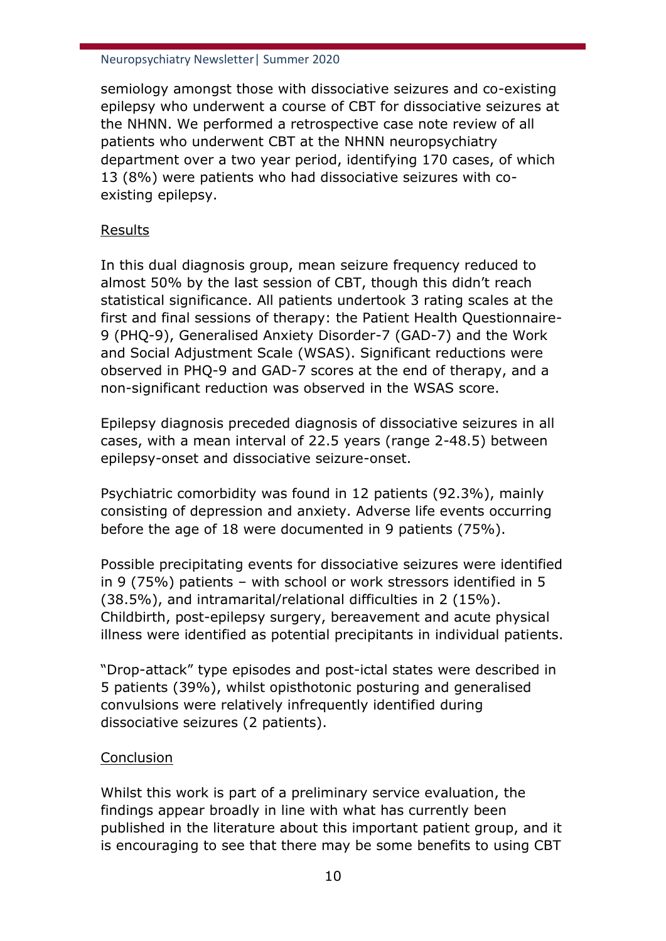semiology amongst those with dissociative seizures and co-existing epilepsy who underwent a course of CBT for dissociative seizures at the NHNN. We performed a retrospective case note review of all patients who underwent CBT at the NHNN neuropsychiatry department over a two year period, identifying 170 cases, of which 13 (8%) were patients who had dissociative seizures with coexisting epilepsy.

# Results

In this dual diagnosis group, mean seizure frequency reduced to almost 50% by the last session of CBT, though this didn't reach statistical significance. All patients undertook 3 rating scales at the first and final sessions of therapy: the Patient Health Questionnaire-9 (PHQ-9), Generalised Anxiety Disorder-7 (GAD-7) and the Work and Social Adjustment Scale (WSAS). Significant reductions were observed in PHQ-9 and GAD-7 scores at the end of therapy, and a non-significant reduction was observed in the WSAS score.

Epilepsy diagnosis preceded diagnosis of dissociative seizures in all cases, with a mean interval of 22.5 years (range 2-48.5) between epilepsy-onset and dissociative seizure-onset.

Psychiatric comorbidity was found in 12 patients (92.3%), mainly consisting of depression and anxiety. Adverse life events occurring before the age of 18 were documented in 9 patients (75%).

Possible precipitating events for dissociative seizures were identified in 9 (75%) patients – with school or work stressors identified in 5 (38.5%), and intramarital/relational difficulties in 2 (15%). Childbirth, post-epilepsy surgery, bereavement and acute physical illness were identified as potential precipitants in individual patients.

"Drop-attack" type episodes and post-ictal states were described in 5 patients (39%), whilst opisthotonic posturing and generalised convulsions were relatively infrequently identified during dissociative seizures (2 patients).

# Conclusion

Whilst this work is part of a preliminary service evaluation, the findings appear broadly in line with what has currently been published in the literature about this important patient group, and it is encouraging to see that there may be some benefits to using CBT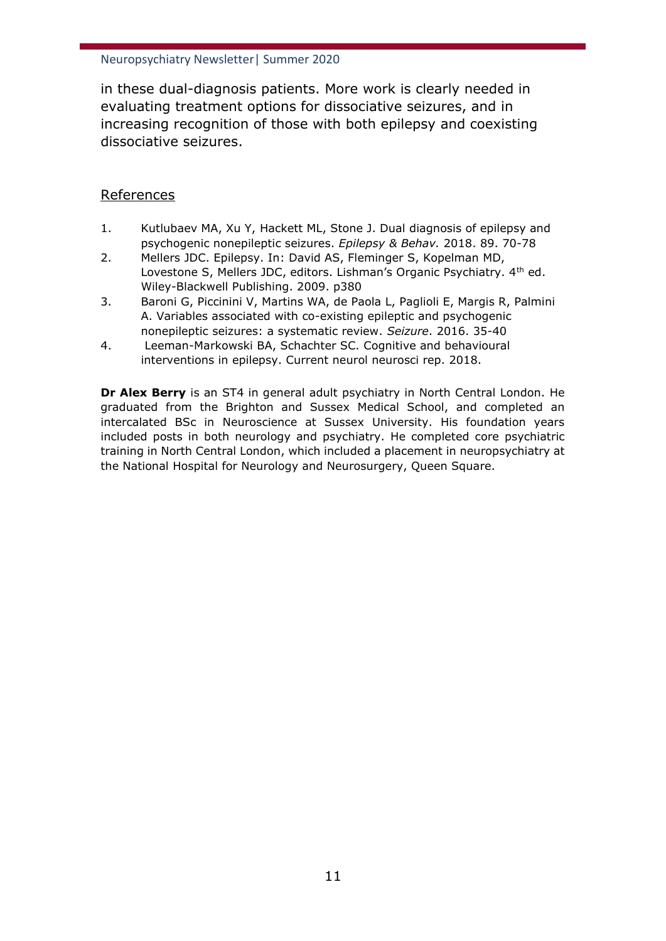in these dual-diagnosis patients. More work is clearly needed in evaluating treatment options for dissociative seizures, and in increasing recognition of those with both epilepsy and coexisting dissociative seizures.

## References

- 1. Kutlubaev MA, Xu Y, Hackett ML, Stone J. Dual diagnosis of epilepsy and psychogenic nonepileptic seizures. *Epilepsy & Behav.* 2018. 89. 70-78
- 2. Mellers JDC. Epilepsy. In: David AS, Fleminger S, Kopelman MD, Lovestone S, Mellers JDC, editors. Lishman's Organic Psychiatry. 4<sup>th</sup> ed. Wiley-Blackwell Publishing. 2009. p380
- 3. Baroni G, Piccinini V, Martins WA, de Paola L, Paglioli E, Margis R, Palmini A. Variables associated with co-existing epileptic and psychogenic nonepileptic seizures: a systematic review. *Seizure*. 2016. 35-40
- 4. Leeman-Markowski BA, Schachter SC. Cognitive and behavioural interventions in epilepsy. Current neurol neurosci rep. 2018.

**Dr Alex Berry** is an ST4 in general adult psychiatry in North Central London. He graduated from the Brighton and Sussex Medical School, and completed an intercalated BSc in Neuroscience at Sussex University. His foundation years included posts in both neurology and psychiatry. He completed core psychiatric training in North Central London, which included a placement in neuropsychiatry at the National Hospital for Neurology and Neurosurgery, Queen Square.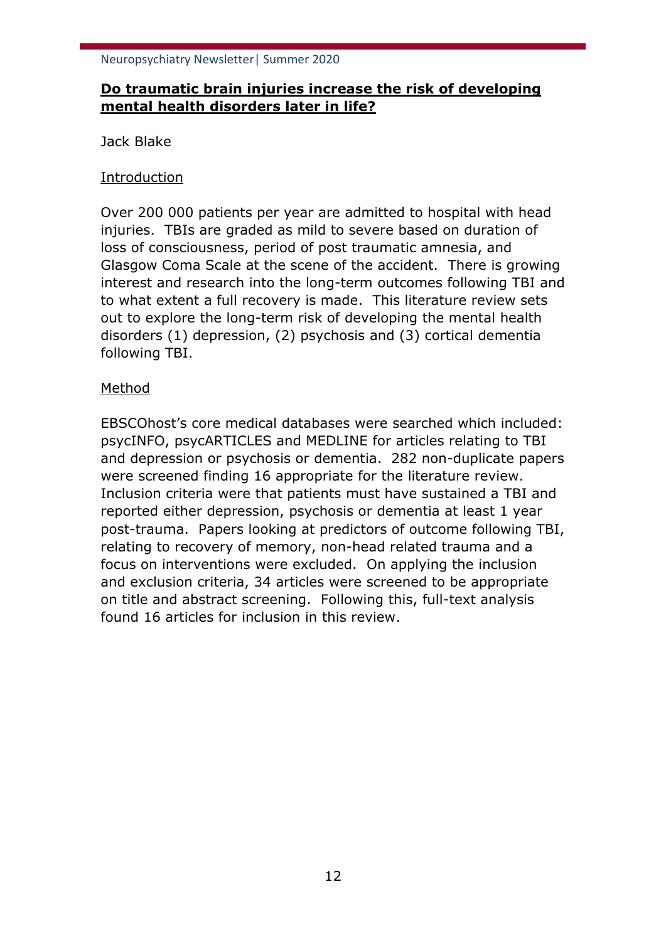# **Do traumatic brain injuries increase the risk of developing mental health disorders later in life?**

Jack Blake

# Introduction

Over 200 000 patients per year are admitted to hospital with head injuries. TBIs are graded as mild to severe based on duration of loss of consciousness, period of post traumatic amnesia, and Glasgow Coma Scale at the scene of the accident. There is growing interest and research into the long-term outcomes following TBI and to what extent a full recovery is made. This literature review sets out to explore the long-term risk of developing the mental health disorders (1) depression, (2) psychosis and (3) cortical dementia following TBI.

# Method

EBSCOhost's core medical databases were searched which included: psycINFO, psycARTICLES and MEDLINE for articles relating to TBI and depression or psychosis or dementia. 282 non-duplicate papers were screened finding 16 appropriate for the literature review. Inclusion criteria were that patients must have sustained a TBI and reported either depression, psychosis or dementia at least 1 year post-trauma. Papers looking at predictors of outcome following TBI, relating to recovery of memory, non-head related trauma and a focus on interventions were excluded. On applying the inclusion and exclusion criteria, 34 articles were screened to be appropriate on title and abstract screening. Following this, full-text analysis found 16 articles for inclusion in this review.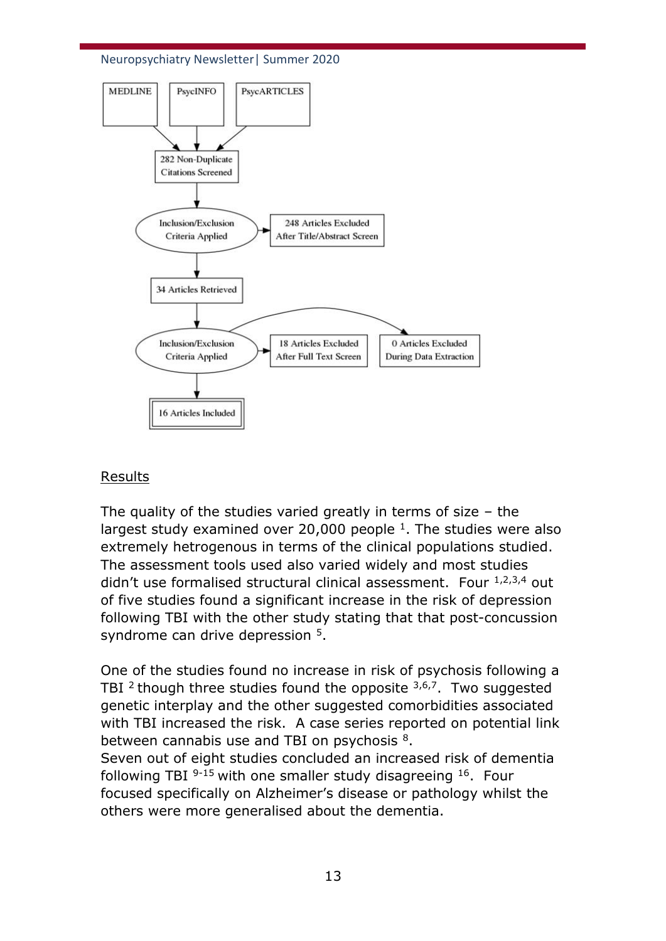



### Results

The quality of the studies varied greatly in terms of size – the largest study examined over 20,000 people  $1$ . The studies were also extremely hetrogenous in terms of the clinical populations studied. The assessment tools used also varied widely and most studies didn't use formalised structural clinical assessment. Four  $1,2,3,4$  out of five studies found a significant increase in the risk of depression following TBI with the other study stating that that post-concussion syndrome can drive depression <sup>5</sup>.

One of the studies found no increase in risk of psychosis following a TBI  $2$  though three studies found the opposite  $3,6,7$ . Two suggested genetic interplay and the other suggested comorbidities associated with TBI increased the risk. A case series reported on potential link between cannabis use and TBI on psychosis <sup>8</sup>.

Seven out of eight studies concluded an increased risk of dementia following TBI <sup>9-15</sup> with one smaller study disagreeing <sup>16</sup>. Four focused specifically on Alzheimer's disease or pathology whilst the others were more generalised about the dementia.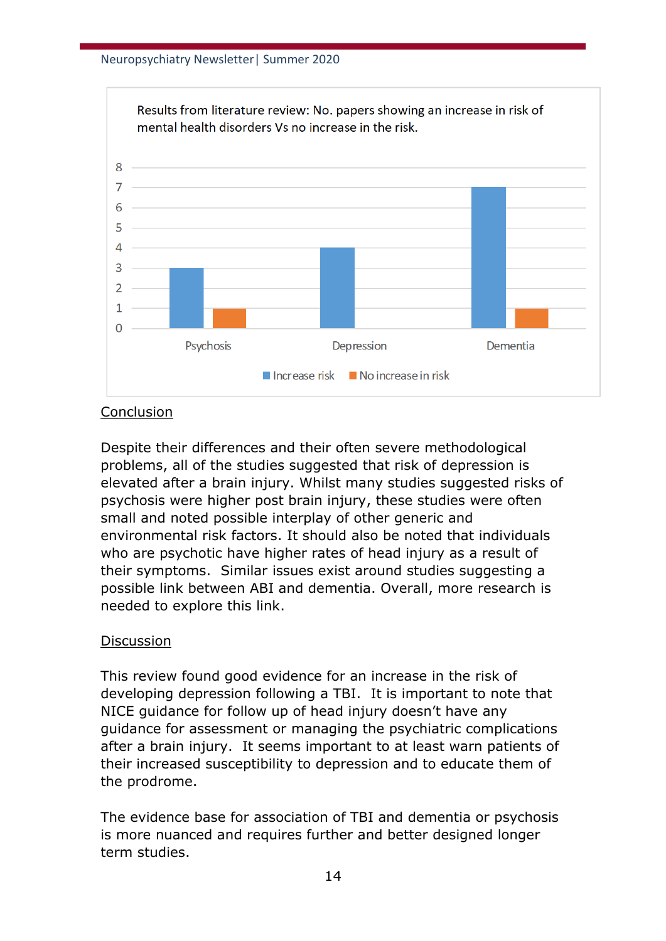

## **Conclusion**

Despite their differences and their often severe methodological problems, all of the studies suggested that risk of depression is elevated after a brain injury. Whilst many studies suggested risks of psychosis were higher post brain injury, these studies were often small and noted possible interplay of other generic and environmental risk factors. It should also be noted that individuals who are psychotic have higher rates of head injury as a result of their symptoms. Similar issues exist around studies suggesting a possible link between ABI and dementia. Overall, more research is needed to explore this link.

## Discussion

This review found good evidence for an increase in the risk of developing depression following a TBI. It is important to note that NICE guidance for follow up of head injury doesn't have any guidance for assessment or managing the psychiatric complications after a brain injury. It seems important to at least warn patients of their increased susceptibility to depression and to educate them of the prodrome.

The evidence base for association of TBI and dementia or psychosis is more nuanced and requires further and better designed longer term studies.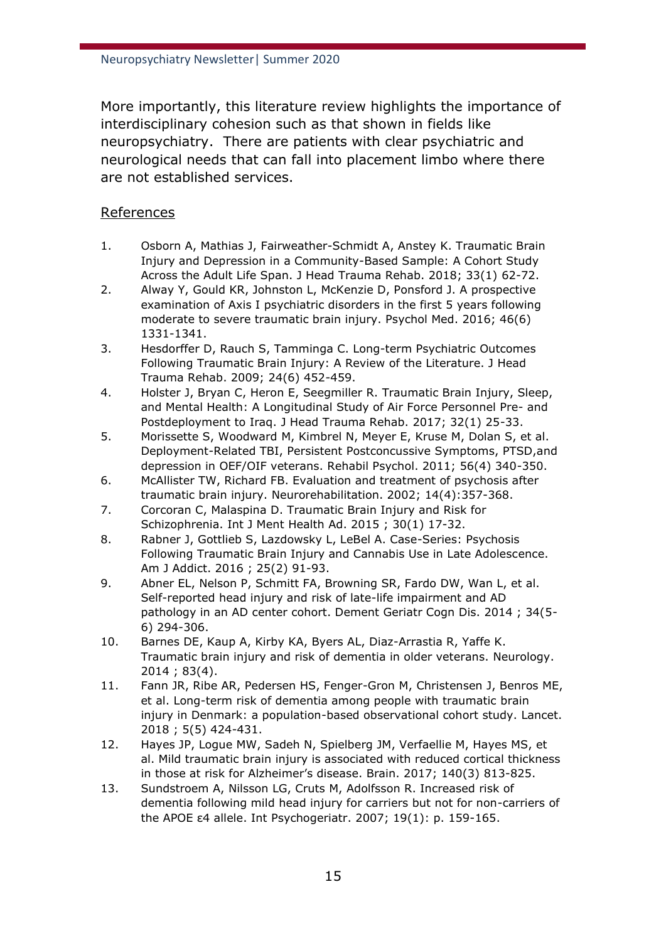More importantly, this literature review highlights the importance of interdisciplinary cohesion such as that shown in fields like neuropsychiatry. There are patients with clear psychiatric and neurological needs that can fall into placement limbo where there are not established services.

## References

- 1. Osborn A, Mathias J, Fairweather-Schmidt A, Anstey K. Traumatic Brain Injury and Depression in a Community-Based Sample: A Cohort Study Across the Adult Life Span. J Head Trauma Rehab. 2018; 33(1) 62-72.
- 2. Alway Y, Gould KR, Johnston L, McKenzie D, Ponsford J. A prospective examination of Axis I psychiatric disorders in the first 5 years following moderate to severe traumatic brain injury. Psychol Med. 2016; 46(6) 1331-1341.
- 3. Hesdorffer D, Rauch S, Tamminga C. Long-term Psychiatric Outcomes Following Traumatic Brain Injury: A Review of the Literature. J Head Trauma Rehab. 2009; 24(6) 452-459.
- 4. Holster J, Bryan C, Heron E, Seegmiller R. Traumatic Brain Injury, Sleep, and Mental Health: A Longitudinal Study of Air Force Personnel Pre- and Postdeployment to Iraq. J Head Trauma Rehab. 2017; 32(1) 25-33.
- 5. Morissette S, Woodward M, Kimbrel N, Meyer E, Kruse M, Dolan S, et al. Deployment-Related TBI, Persistent Postconcussive Symptoms, PTSD,and depression in OEF/OIF veterans. Rehabil Psychol. 2011; 56(4) 340-350.
- 6. McAllister TW, Richard FB. Evaluation and treatment of psychosis after traumatic brain injury. Neurorehabilitation. 2002; 14(4):357-368.
- 7. Corcoran C, Malaspina D. Traumatic Brain Injury and Risk for Schizophrenia. Int J Ment Health Ad. 2015 ; 30(1) 17-32.
- 8. Rabner J, Gottlieb S, Lazdowsky L, LeBel A. Case-Series: Psychosis Following Traumatic Brain Injury and Cannabis Use in Late Adolescence. Am J Addict. 2016 ; 25(2) 91-93.
- 9. Abner EL, Nelson P, Schmitt FA, Browning SR, Fardo DW, Wan L, et al. Self-reported head injury and risk of late-life impairment and AD pathology in an AD center cohort. Dement Geriatr Cogn Dis. 2014 ; 34(5- 6) 294-306.
- 10. Barnes DE, Kaup A, Kirby KA, Byers AL, Diaz-Arrastia R, Yaffe K. Traumatic brain injury and risk of dementia in older veterans. Neurology. 2014 ; 83(4).
- 11. Fann JR, Ribe AR, Pedersen HS, Fenger-Gron M, Christensen J, Benros ME, et al. Long-term risk of dementia among people with traumatic brain injury in Denmark: a population-based observational cohort study. Lancet. 2018 ; 5(5) 424-431.
- 12. Hayes JP, Logue MW, Sadeh N, Spielberg JM, Verfaellie M, Hayes MS, et al. Mild traumatic brain injury is associated with reduced cortical thickness in those at risk for Alzheimer's disease. Brain. 2017; 140(3) 813-825.
- 13. Sundstroem A, Nilsson LG, Cruts M, Adolfsson R. Increased risk of dementia following mild head injury for carriers but not for non-carriers of the APOE ε4 allele. Int Psychogeriatr. 2007; 19(1): p. 159-165.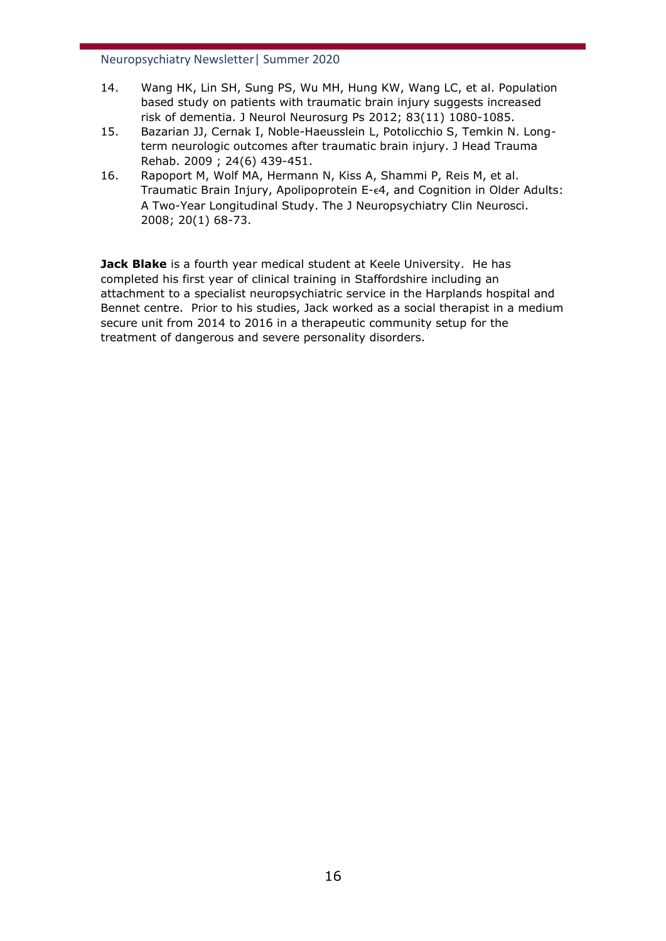- 14. Wang HK, Lin SH, Sung PS, Wu MH, Hung KW, Wang LC, et al. Population based study on patients with traumatic brain injury suggests increased risk of dementia. J Neurol Neurosurg Ps 2012; 83(11) 1080-1085.
- 15. Bazarian JJ, Cernak I, Noble-Haeusslein L, Potolicchio S, Temkin N. Longterm neurologic outcomes after traumatic brain injury. J Head Trauma Rehab. 2009 ; 24(6) 439-451.
- 16. Rapoport M, Wolf MA, Hermann N, Kiss A, Shammi P, Reis M, et al. Traumatic Brain Injury, Apolipoprotein E- $\epsilon$ 4, and Cognition in Older Adults: A Two-Year Longitudinal Study. The J Neuropsychiatry Clin Neurosci. 2008; 20(1) 68-73.

**Jack Blake** is a fourth year medical student at Keele University. He has completed his first year of clinical training in Staffordshire including an attachment to a specialist neuropsychiatric service in the Harplands hospital and Bennet centre. Prior to his studies, Jack worked as a social therapist in a medium secure unit from 2014 to 2016 in a therapeutic community setup for the treatment of dangerous and severe personality disorders.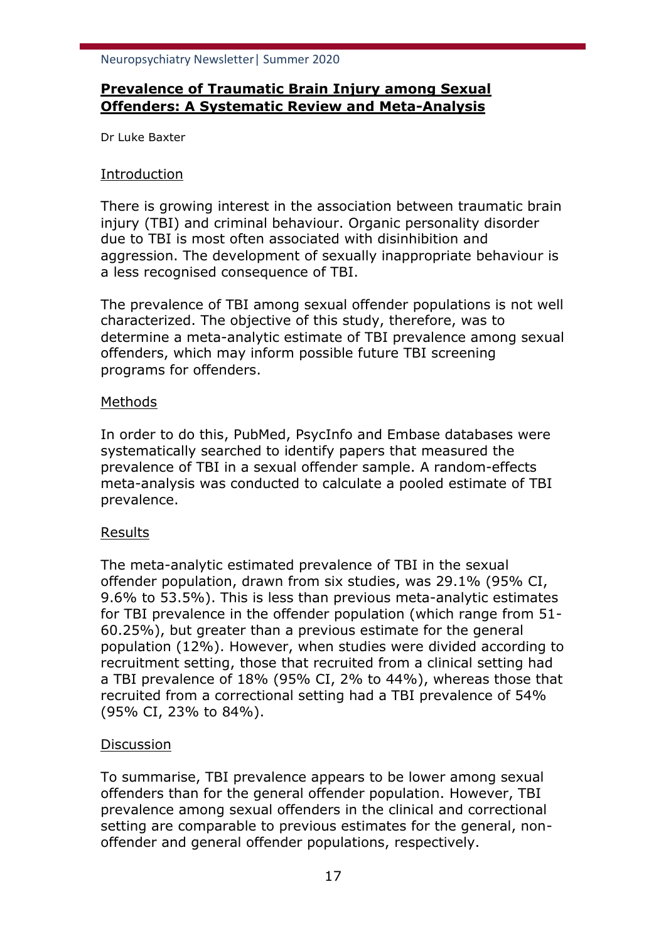# **Prevalence of Traumatic Brain Injury among Sexual Offenders: A Systematic Review and Meta-Analysis**

Dr Luke Baxter

## Introduction

There is growing interest in the association between traumatic brain injury (TBI) and criminal behaviour. Organic personality disorder due to TBI is most often associated with disinhibition and aggression. The development of sexually inappropriate behaviour is a less recognised consequence of TBI.

The prevalence of TBI among sexual offender populations is not well characterized. The objective of this study, therefore, was to determine a meta-analytic estimate of TBI prevalence among sexual offenders, which may inform possible future TBI screening programs for offenders.

## Methods

In order to do this, PubMed, PsycInfo and Embase databases were systematically searched to identify papers that measured the prevalence of TBI in a sexual offender sample. A random-effects meta-analysis was conducted to calculate a pooled estimate of TBI prevalence.

## Results

The meta-analytic estimated prevalence of TBI in the sexual offender population, drawn from six studies, was 29.1% (95% CI, 9.6% to 53.5%). This is less than previous meta-analytic estimates for TBI prevalence in the offender population (which range from 51- 60.25%), but greater than a previous estimate for the general population (12%). However, when studies were divided according to recruitment setting, those that recruited from a clinical setting had a TBI prevalence of 18% (95% CI, 2% to 44%), whereas those that recruited from a correctional setting had a TBI prevalence of 54% (95% CI, 23% to 84%).

## **Discussion**

To summarise, TBI prevalence appears to be lower among sexual offenders than for the general offender population. However, TBI prevalence among sexual offenders in the clinical and correctional setting are comparable to previous estimates for the general, nonoffender and general offender populations, respectively.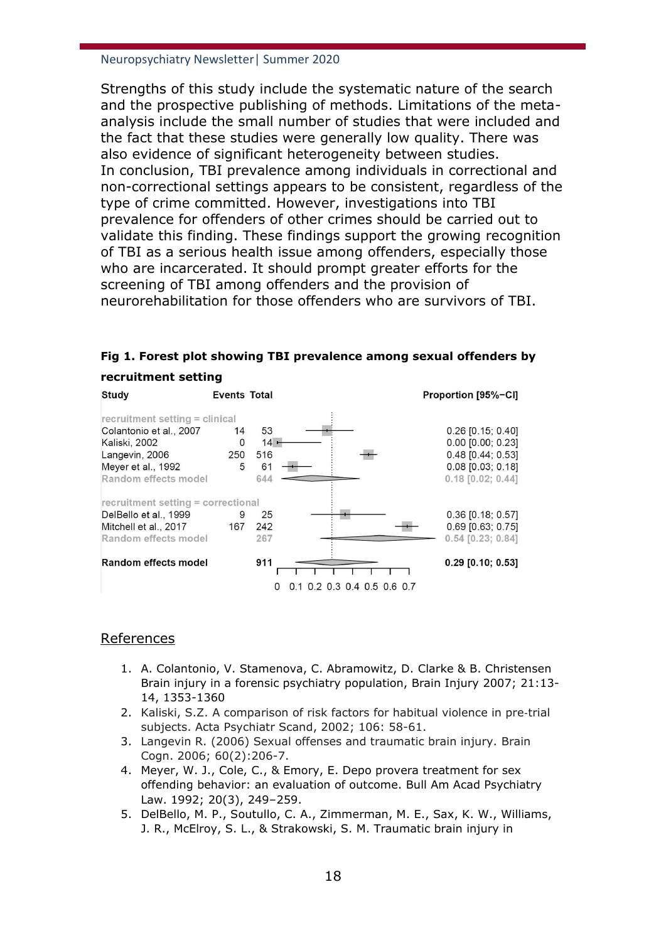Strengths of this study include the systematic nature of the search and the prospective publishing of methods. Limitations of the metaanalysis include the small number of studies that were included and the fact that these studies were generally low quality. There was also evidence of significant heterogeneity between studies. In conclusion, TBI prevalence among individuals in correctional and non-correctional settings appears to be consistent, regardless of the type of crime committed. However, investigations into TBI prevalence for offenders of other crimes should be carried out to validate this finding. These findings support the growing recognition of TBI as a serious health issue among offenders, especially those who are incarcerated. It should prompt greater efforts for the screening of TBI among offenders and the provision of neurorehabilitation for those offenders who are survivors of TBI.

|  |  | Fig 1. Forest plot showing TBI prevalence among sexual offenders by |  |  |  |  |  |  |
|--|--|---------------------------------------------------------------------|--|--|--|--|--|--|
|--|--|---------------------------------------------------------------------|--|--|--|--|--|--|

#### **recruitment setting**

| Study                                                                                                                                      | <b>Events Total</b> |                                  |                         | Proportion [95%-CI]                                                                                               |
|--------------------------------------------------------------------------------------------------------------------------------------------|---------------------|----------------------------------|-------------------------|-------------------------------------------------------------------------------------------------------------------|
| recruitment setting = clinical<br>Colantonio et al., 2007<br>Kaliski, 2002<br>Langevin, 2006<br>Meyer et al., 1992<br>Random effects model | 14<br>0<br>250<br>5 | 53<br>$14 -$<br>516<br>61<br>644 |                         | $0.26$ [0.15; 0.40]<br>$0.00$ $[0.00; 0.23]$<br>0.48 [0.44; 0.53]<br>$0.08$ [0.03; 0.18]<br>$0.18$ $[0.02; 0.44]$ |
| recruitment setting = correctional<br>DelBello et al., 1999<br>Mitchell et al., 2017<br>Random effects model                               | 9<br>167            | 25<br>242<br>267                 |                         | $0.36$ [0.18; 0.57]<br>$0.69$ [0.63; 0.75]<br>$0.54$ [0.23; 0.84]                                                 |
| Random effects model                                                                                                                       |                     | 911<br>O                         | 0.2 0.3 0.4 0.5 0.6 0.7 | $0.29$ [0.10; 0.53]                                                                                               |

### References

- 1. A. Colantonio, V. Stamenova, C. Abramowitz, D. Clarke & B. Christensen Brain injury in a forensic psychiatry population, Brain Injury 2007; 21:13- 14, 1353-1360
- 2. Kaliski, S.Z. A comparison of risk factors for habitual violence in pre‐trial subjects. Acta Psychiatr Scand, 2002; 106: 58-61.
- 3. Langevin R. (2006) Sexual offenses and traumatic brain injury. Brain Cogn. 2006; 60(2):206-7.
- 4. Meyer, W. J., Cole, C., & Emory, E. Depo provera treatment for sex offending behavior: an evaluation of outcome. Bull Am Acad Psychiatry Law. 1992; 20(3), 249–259.
- 5. DelBello, M. P., Soutullo, C. A., Zimmerman, M. E., Sax, K. W., Williams, J. R., McElroy, S. L., & Strakowski, S. M. Traumatic brain injury in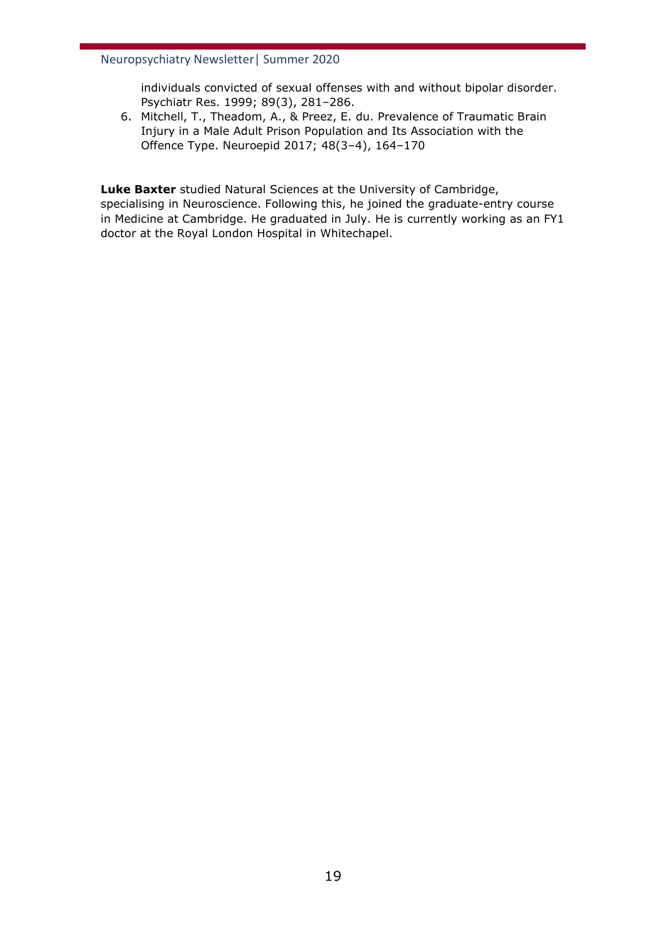individuals convicted of sexual offenses with and without bipolar disorder. Psychiatr Res. 1999; 89(3), 281–286.

6. Mitchell, T., Theadom, A., & Preez, E. du. Prevalence of Traumatic Brain Injury in a Male Adult Prison Population and Its Association with the Offence Type. Neuroepid 2017; 48(3–4), 164–170

**Luke Baxter** studied Natural Sciences at the University of Cambridge, specialising in Neuroscience. Following this, he joined the graduate-entry course in Medicine at Cambridge. He graduated in July. He is currently working as an FY1 doctor at the Royal London Hospital in Whitechapel.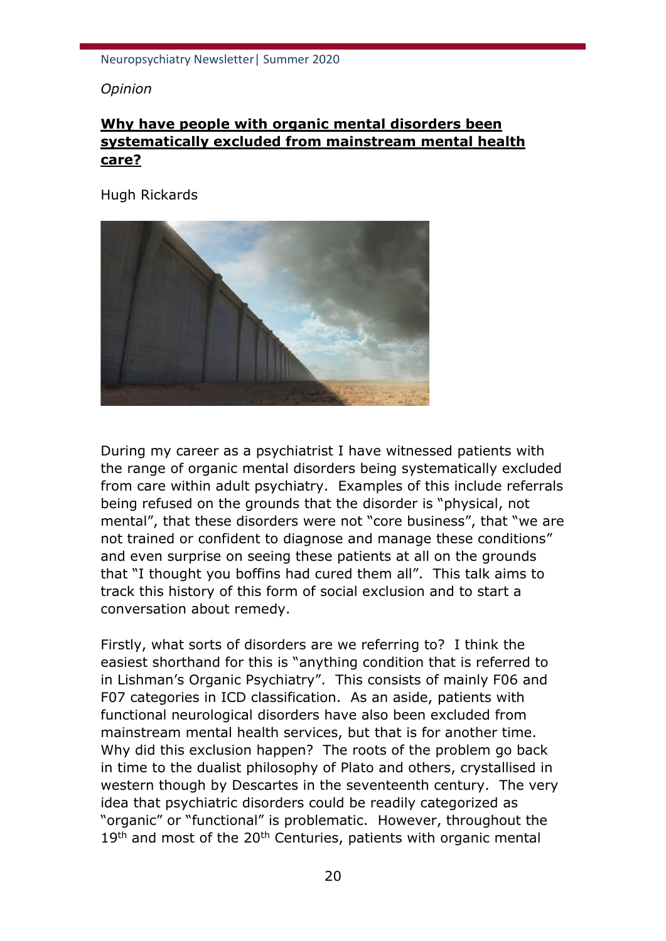*Opinion*

# **Why have people with organic mental disorders been systematically excluded from mainstream mental health care?**

Hugh Rickards



During my career as a psychiatrist I have witnessed patients with the range of organic mental disorders being systematically excluded from care within adult psychiatry. Examples of this include referrals being refused on the grounds that the disorder is "physical, not mental", that these disorders were not "core business", that "we are not trained or confident to diagnose and manage these conditions" and even surprise on seeing these patients at all on the grounds that "I thought you boffins had cured them all". This talk aims to track this history of this form of social exclusion and to start a conversation about remedy.

Firstly, what sorts of disorders are we referring to? I think the easiest shorthand for this is "anything condition that is referred to in Lishman's Organic Psychiatry". This consists of mainly F06 and F07 categories in ICD classification. As an aside, patients with functional neurological disorders have also been excluded from mainstream mental health services, but that is for another time. Why did this exclusion happen? The roots of the problem go back in time to the dualist philosophy of Plato and others, crystallised in western though by Descartes in the seventeenth century. The very idea that psychiatric disorders could be readily categorized as "organic" or "functional" is problematic. However, throughout the  $19<sup>th</sup>$  and most of the 20<sup>th</sup> Centuries, patients with organic mental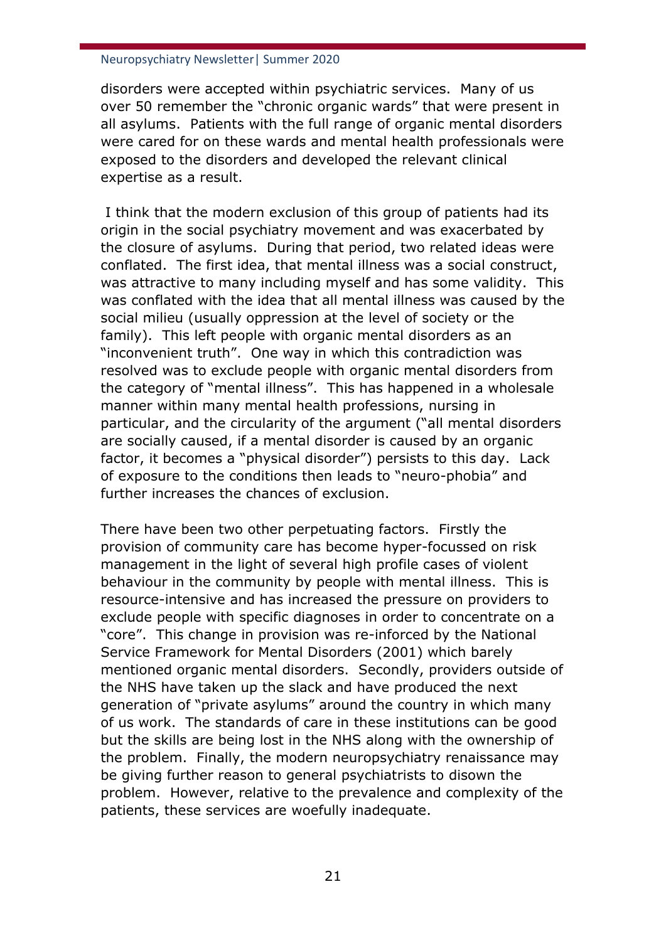disorders were accepted within psychiatric services. Many of us over 50 remember the "chronic organic wards" that were present in all asylums. Patients with the full range of organic mental disorders were cared for on these wards and mental health professionals were exposed to the disorders and developed the relevant clinical expertise as a result.

I think that the modern exclusion of this group of patients had its origin in the social psychiatry movement and was exacerbated by the closure of asylums. During that period, two related ideas were conflated. The first idea, that mental illness was a social construct, was attractive to many including myself and has some validity. This was conflated with the idea that all mental illness was caused by the social milieu (usually oppression at the level of society or the family). This left people with organic mental disorders as an "inconvenient truth". One way in which this contradiction was resolved was to exclude people with organic mental disorders from the category of "mental illness". This has happened in a wholesale manner within many mental health professions, nursing in particular, and the circularity of the argument ("all mental disorders are socially caused, if a mental disorder is caused by an organic factor, it becomes a "physical disorder") persists to this day. Lack of exposure to the conditions then leads to "neuro-phobia" and further increases the chances of exclusion.

There have been two other perpetuating factors. Firstly the provision of community care has become hyper-focussed on risk management in the light of several high profile cases of violent behaviour in the community by people with mental illness. This is resource-intensive and has increased the pressure on providers to exclude people with specific diagnoses in order to concentrate on a "core". This change in provision was re-inforced by the National Service Framework for Mental Disorders (2001) which barely mentioned organic mental disorders. Secondly, providers outside of the NHS have taken up the slack and have produced the next generation of "private asylums" around the country in which many of us work. The standards of care in these institutions can be good but the skills are being lost in the NHS along with the ownership of the problem. Finally, the modern neuropsychiatry renaissance may be giving further reason to general psychiatrists to disown the problem. However, relative to the prevalence and complexity of the patients, these services are woefully inadequate.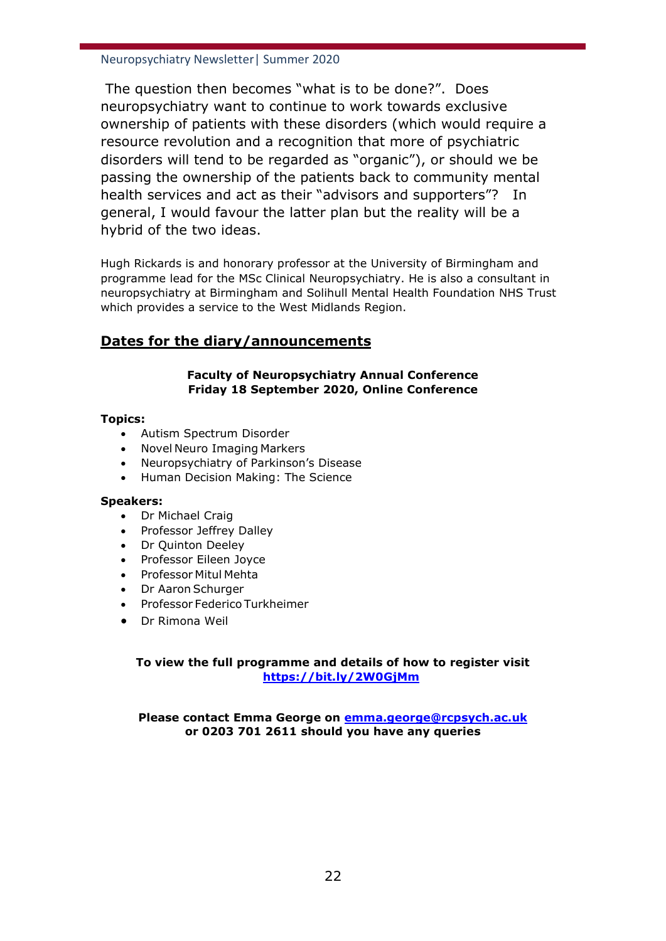The question then becomes "what is to be done?". Does neuropsychiatry want to continue to work towards exclusive ownership of patients with these disorders (which would require a resource revolution and a recognition that more of psychiatric disorders will tend to be regarded as "organic"), or should we be passing the ownership of the patients back to community mental health services and act as their "advisors and supporters"? In general, I would favour the latter plan but the reality will be a hybrid of the two ideas.

Hugh Rickards is and honorary professor at the University of Birmingham and programme lead for the MSc Clinical Neuropsychiatry. He is also a consultant in neuropsychiatry at Birmingham and Solihull Mental Health Foundation NHS Trust which provides a service to the West Midlands Region.

## **Dates for the diary/announcements**

#### **Faculty of Neuropsychiatry Annual Conference Friday 18 September 2020, Online Conference**

#### **Topics:**

- Autism Spectrum Disorder
- Novel Neuro Imaging Markers
- Neuropsychiatry of Parkinson's Disease
- Human Decision Making: The Science

#### **Speakers:**

- Dr Michael Craig
- Professor Jeffrey Dalley
- Dr Quinton Deeley
- Professor Eileen Joyce
- Professor Mitul Mehta
- Dr Aaron Schurger
- Professor Federico Turkheimer
- Dr Rimona Weil

### **To view the full programme and details of how to register visit <https://bit.ly/2W0GjMm>**

**Please contact Emma George on [emma.george@rcpsych.ac.uk](mailto:emma.george@rcpsych.ac.uk) or 0203 701 2611 should you have any queries**